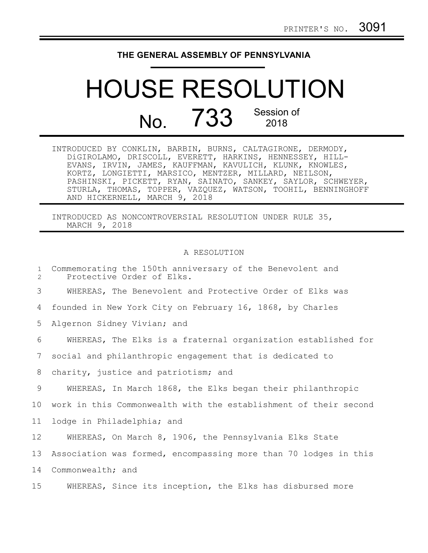## **THE GENERAL ASSEMBLY OF PENNSYLVANIA**

## HOUSE RESOLUTION No. 733 Session of 2018

| INTRODUCED BY CONKLIN, BARBIN, BURNS, CALTAGIRONE, DERMODY,  |
|--------------------------------------------------------------|
| DiGIROLAMO, DRISCOLL, EVERETT, HARKINS, HENNESSEY, HILL-     |
| EVANS, IRVIN, JAMES, KAUFFMAN, KAVULICH, KLUNK, KNOWLES,     |
| KORTZ, LONGIETTI, MARSICO, MENTZER, MILLARD, NEILSON,        |
| PASHINSKI, PICKETT, RYAN, SAINATO, SANKEY, SAYLOR, SCHWEYER, |
| STURLA, THOMAS, TOPPER, VAZQUEZ, WATSON, TOOHIL, BENNINGHOFF |
| AND HICKERNELL, MARCH 9, 2018                                |

INTRODUCED AS NONCONTROVERSIAL RESOLUTION UNDER RULE 35, MARCH 9, 2018

## A RESOLUTION

| $\mathbf{1}$<br>$\overline{2}$ | Commemorating the 150th anniversary of the Benevolent and<br>Protective Order of Elks. |
|--------------------------------|----------------------------------------------------------------------------------------|
| 3                              | WHEREAS, The Benevolent and Protective Order of Elks was                               |
| 4                              | founded in New York City on February 16, 1868, by Charles                              |
| 5                              | Algernon Sidney Vivian; and                                                            |
| 6                              | WHEREAS, The Elks is a fraternal organization established for                          |
| 7                              | social and philanthropic engagement that is dedicated to                               |
| 8                              | charity, justice and patriotism; and                                                   |
| 9                              | WHEREAS, In March 1868, the Elks began their philanthropic                             |
| 10                             | work in this Commonwealth with the establishment of their second                       |
| 11                             | lodge in Philadelphia; and                                                             |
| 12                             | WHEREAS, On March 8, 1906, the Pennsylvania Elks State                                 |
| 13                             | Association was formed, encompassing more than 70 lodges in this                       |
| 14                             | Commonwealth; and                                                                      |
| 15 <sub>1</sub>                | WHEREAS, Since its inception, the Elks has disbursed more                              |